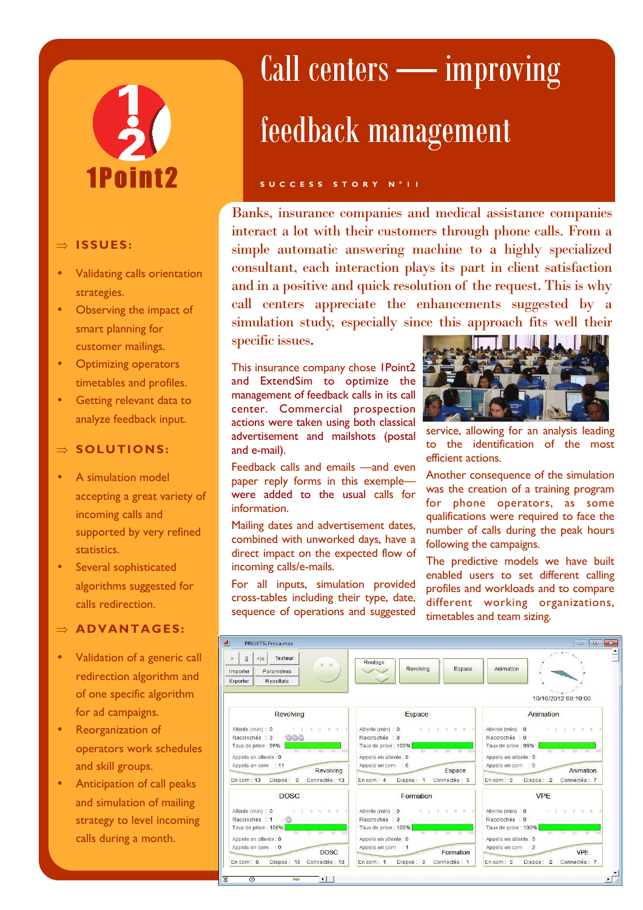# 1Point2

#### ⇒ **ISSUES :**

- Validating calls orientation strategies.
- Observing the impact of smart planning for customer mailings.
- Optimizing operators timetables and profiles.
- Getting relevant data to analyze feedback input.

#### ⇒ **SOLUTIONS:**

- A simulation model accepting a great variety of incoming calls and supported by very refined statistics.
- Several sophisticated algorithms suggested for calls redirection.

#### ⇒ **AD VANTAG ES:**

- Validation of a generic call redirection algorithm and of one specific algorithm for ad campaigns.
- Reorganization of operators work schedules and skill groups.
- Anticipation of call peaks and simulation of mailing strategy to level incoming calls during a month.

## Call centers — improving feedback management

#### **S U C C E S S S T O R Y N ° 1 1**

Banks, insurance companies and medical assistance companies interact a lot with their customers through phone calls. From a simple automatic answering machine to a highly specialized consultant, each interaction plays its part in client satisfaction and in a positive and quick resolution of the request. This is why call centers appreciate the enhancements suggested by a simulation study, especially since this approach fits well their specific issues.

This insurance company chose 1Point2 and ExtendSim to optimize the management of feedback calls in its call center. Commercial prospection actions were taken using both classical advertisement and mailshots (postal and e-mail).

Feedback calls and emails —and even paper reply forms in this exemple were added to the usual calls for information.

Mailing dates and advertisement dates, combined with unworked days, have a direct impact on the expected flow of incoming calls/e-mails.

For all inputs, simulation provided cross-tables including their type, date, sequence of operations and suggested



service, allowing for an analysis leading to the identification of the most efficient actions.

Another consequence of the simulation was the creation of a training program for phone operators, as some qualifications were required to face the number of calls during the peak hours following the campaigns.

The predictive models we have built enabled users to set different calling profiles and workloads and to compare different working organizations, timetables and team sizing.